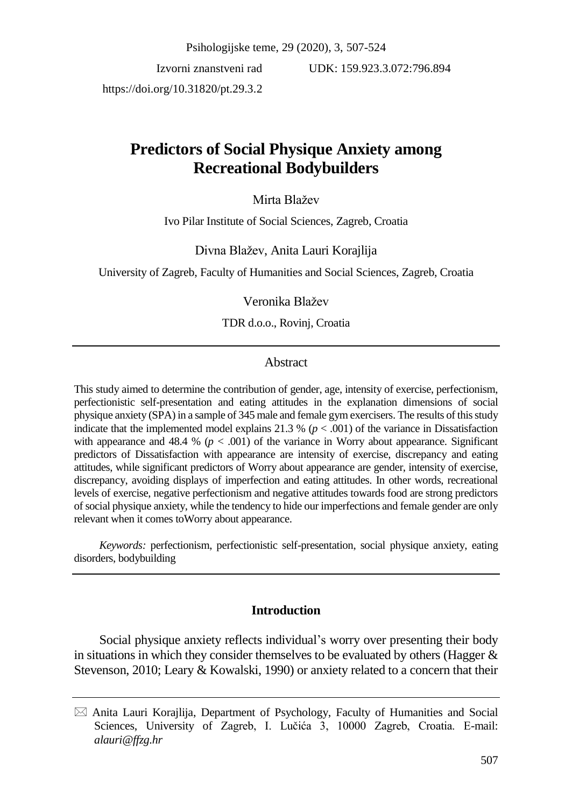Psihologijske teme, 29 (2020), 3, 507-524

Izvorni znanstveni rad https://doi.org/10.31820/pt.29.3.2

UDK: 159.923.3.072:796.894

# **Predictors of Social Physique Anxiety among Recreational Bodybuilders**

# Mirta Blažev

Ivo Pilar Institute of Social Sciences, Zagreb, Croatia

## Divna Blažev, Anita Lauri Korajlija

University of Zagreb, Faculty of Humanities and Social Sciences, Zagreb, Croatia

## Veronika Blažev

TDR d.o.o., Rovinj, Croatia

# Abstract

This study aimed to determine the contribution of gender, age, intensity of exercise, perfectionism, perfectionistic self-presentation and eating attitudes in the explanation dimensions of social physique anxiety (SPA) in a sample of 345 male and female gym exercisers. The results of this study indicate that the implemented model explains 21.3 % ( $p < .001$ ) of the variance in Dissatisfaction with appearance and  $48.4 % (p < .001)$  of the variance in Worry about appearance. Significant predictors of Dissatisfaction with appearance are intensity of exercise, discrepancy and eating attitudes, while significant predictors of Worry about appearance are gender, intensity of exercise, discrepancy, avoiding displays of imperfection and eating attitudes. In other words, recreational levels of exercise, negative perfectionism and negative attitudes towards food are strong predictors of social physique anxiety, while the tendency to hide our imperfections and female gender are only relevant when it comes toWorry about appearance.

*Keywords:* perfectionism, perfectionistic self-presentation, social physique anxiety, eating disorders, bodybuilding

## **Introduction**

Social physique anxiety reflects individual's worry over presenting their body in situations in which they consider themselves to be evaluated by others (Hagger  $\&$ Stevenson, 2010; Leary & Kowalski, 1990) or anxiety related to a concern that their

 $\boxtimes$  Anita Lauri Korajlija, Department of Psychology, Faculty of Humanities and Social Sciences, University of Zagreb, I. Lučića 3, 10000 Zagreb, Croatia. E-mail: *alauri@ffzg.hr*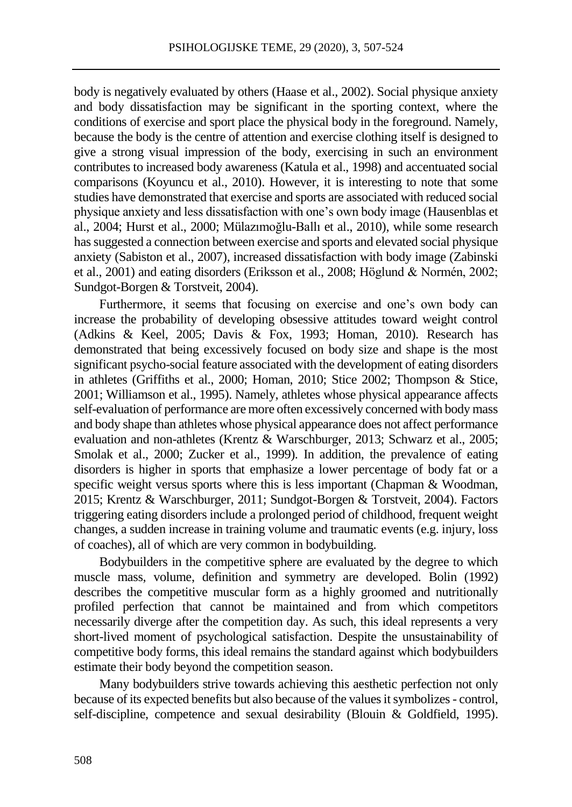body is negatively evaluated by others (Haase et al., 2002). Social physique anxiety and body dissatisfaction may be significant in the sporting context, where the conditions of exercise and sport place the physical body in the foreground. Namely, because the body is the centre of attention and exercise clothing itself is designed to give a strong visual impression of the body, exercising in such an environment contributes to increased body awareness (Katula et al., 1998) and accentuated social comparisons (Koyuncu et al., 2010). However, it is interesting to note that some studies have demonstrated that exercise and sports are associated with reduced social physique anxiety and less dissatisfaction with one's own body image (Hausenblas et al., 2004; Hurst et al., 2000; Mülazımoğlu-Ballı et al., 2010), while some research has suggested a connection between exercise and sports and elevated social physique anxiety (Sabiston et al., 2007), increased dissatisfaction with body image (Zabinski et al., 2001) and eating disorders (Eriksson et al., 2008; Höglund & Normén, 2002; Sundgot-Borgen & Torstveit, 2004).

Furthermore, it seems that focusing on exercise and one's own body can increase the probability of developing obsessive attitudes toward weight control (Adkins & Keel, 2005; Davis & Fox, 1993; Homan, 2010). Research has demonstrated that being excessively focused on body size and shape is the most significant psycho-social feature associated with the development of eating disorders in athletes (Griffiths et al., 2000; Homan, 2010; Stice 2002; Thompson & Stice, 2001; Williamson et al., 1995). Namely, athletes whose physical appearance affects self-evaluation of performance are more often excessively concerned with body mass and body shape than athletes whose physical appearance does not affect performance evaluation and non-athletes (Krentz & Warschburger, 2013; Schwarz et al., 2005; Smolak et al., 2000; Zucker et al., 1999). In addition, the prevalence of eating disorders is higher in sports that emphasize a lower percentage of body fat or a specific weight versus sports where this is less important (Chapman & Woodman, 2015; Krentz & Warschburger, 2011; Sundgot-Borgen & Torstveit, 2004). Factors triggering eating disorders include a prolonged period of childhood, frequent weight changes, a sudden increase in training volume and traumatic events (e.g. injury, loss of coaches), all of which are very common in bodybuilding.

Bodybuilders in the competitive sphere are evaluated by the degree to which muscle mass, volume, definition and symmetry are developed. Bolin (1992) describes the competitive muscular form as a highly groomed and nutritionally profiled perfection that cannot be maintained and from which competitors necessarily diverge after the competition day. As such, this ideal represents a very short-lived moment of psychological satisfaction. Despite the unsustainability of competitive body forms, this ideal remains the standard against which bodybuilders estimate their body beyond the competition season.

Many bodybuilders strive towards achieving this aesthetic perfection not only because of its expected benefits but also because of the values it symbolizes - control, self-discipline, competence and sexual desirability (Blouin & Goldfield, 1995).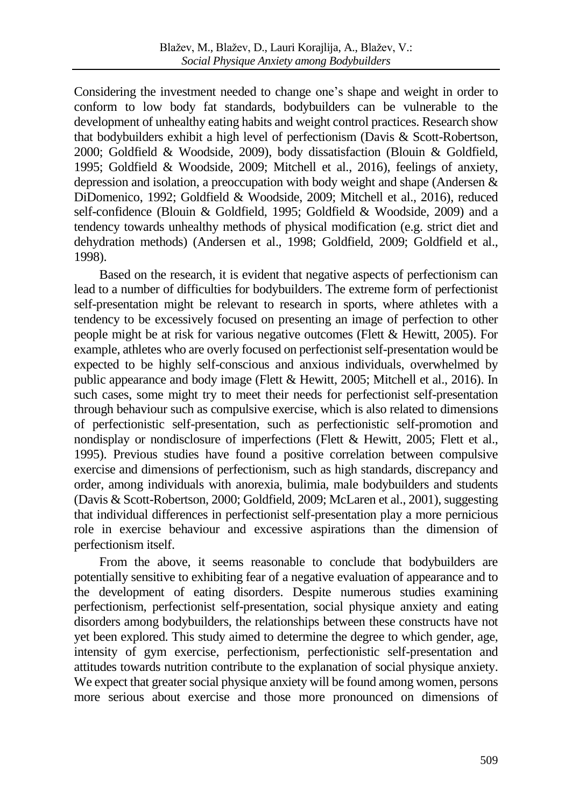Considering the investment needed to change one's shape and weight in order to conform to low body fat standards, bodybuilders can be vulnerable to the development of unhealthy eating habits and weight control practices. Research show that bodybuilders exhibit a high level of perfectionism (Davis & Scott-Robertson, 2000; Goldfield & Woodside, 2009), body dissatisfaction (Blouin & Goldfield, 1995; Goldfield & Woodside, 2009; Mitchell et al., 2016), feelings of anxiety, depression and isolation, a preoccupation with body weight and shape (Andersen & DiDomenico, 1992; Goldfield & Woodside, 2009; Mitchell et al., 2016), reduced self-confidence (Blouin & Goldfield, 1995; Goldfield & Woodside, 2009) and a tendency towards unhealthy methods of physical modification (e.g. strict diet and dehydration methods) (Andersen et al., 1998; Goldfield, 2009; Goldfield et al., 1998).

Based on the research, it is evident that negative aspects of perfectionism can lead to a number of difficulties for bodybuilders. The extreme form of perfectionist self-presentation might be relevant to research in sports, where athletes with a tendency to be excessively focused on presenting an image of perfection to other people might be at risk for various negative outcomes (Flett & Hewitt, 2005). For example, athletes who are overly focused on perfectionist self-presentation would be expected to be highly self-conscious and anxious individuals, overwhelmed by public appearance and body image (Flett & Hewitt, 2005; Mitchell et al., 2016). In such cases, some might try to meet their needs for perfectionist self-presentation through behaviour such as compulsive exercise, which is also related to dimensions of perfectionistic self-presentation, such as perfectionistic self-promotion and nondisplay or nondisclosure of imperfections (Flett & Hewitt, 2005; Flett et al., 1995). Previous studies have found a positive correlation between compulsive exercise and dimensions of perfectionism, such as high standards, discrepancy and order, among individuals with anorexia, bulimia, male bodybuilders and students (Davis & Scott-Robertson, 2000; Goldfield, 2009; McLaren et al., 2001), suggesting that individual differences in perfectionist self-presentation play a more pernicious role in exercise behaviour and excessive aspirations than the dimension of perfectionism itself.

From the above, it seems reasonable to conclude that bodybuilders are potentially sensitive to exhibiting fear of a negative evaluation of appearance and to the development of eating disorders. Despite numerous studies examining perfectionism, perfectionist self-presentation, social physique anxiety and eating disorders among bodybuilders, the relationships between these constructs have not yet been explored. This study aimed to determine the degree to which gender, age, intensity of gym exercise, perfectionism, perfectionistic self-presentation and attitudes towards nutrition contribute to the explanation of social physique anxiety. We expect that greater social physique anxiety will be found among women, persons more serious about exercise and those more pronounced on dimensions of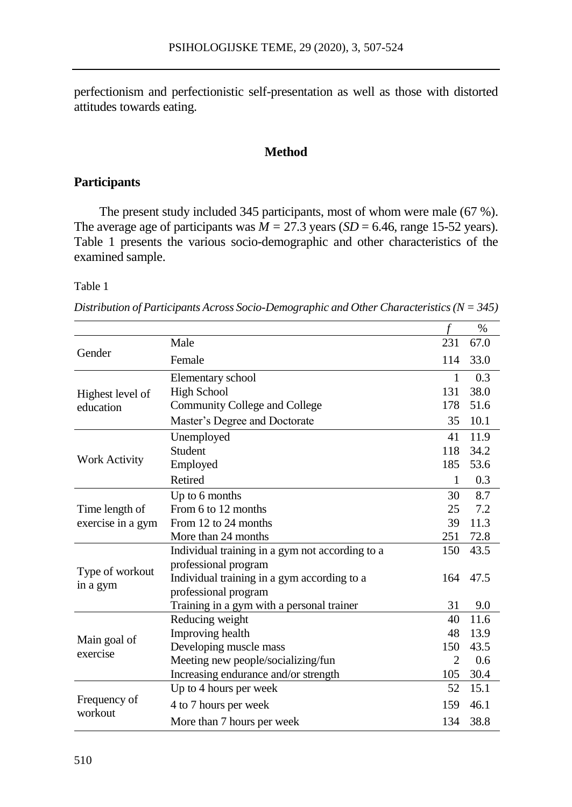perfectionism and perfectionistic self-presentation as well as those with distorted attitudes towards eating.

# **Method**

# **Participants**

The present study included 345 participants, most of whom were male (67 %). The average age of participants was  $\dot{M} = 27.3$  years (*SD* = 6.46, range 15-52 years). Table 1 presents the various socio-demographic and other characteristics of the examined sample.

#### Table 1

|                                     |                                                 |                | %    |
|-------------------------------------|-------------------------------------------------|----------------|------|
|                                     | Male                                            | 231            | 67.0 |
| Gender                              | Female                                          | 114            | 33.0 |
|                                     | Elementary school                               | 1              | 0.3  |
| Highest level of                    | <b>High School</b>                              | 131            | 38.0 |
| education                           | Community College and College                   | 178            | 51.6 |
|                                     | Master's Degree and Doctorate                   | 35             | 10.1 |
|                                     | Unemployed                                      | 41             | 11.9 |
|                                     | Student                                         | 118            | 34.2 |
| <b>Work Activity</b>                | Employed                                        | 185            | 53.6 |
|                                     | Retired                                         | 1              | 0.3  |
|                                     | Up to 6 months                                  | 30             | 8.7  |
| Time length of<br>exercise in a gym | From 6 to 12 months                             | 25             | 7.2  |
|                                     | From 12 to 24 months                            | 39             | 11.3 |
|                                     | More than 24 months                             | 251            | 72.8 |
|                                     | Individual training in a gym not according to a | 150            | 43.5 |
| Type of workout                     | professional program                            |                |      |
| in a gym                            | Individual training in a gym according to a     | 164            | 47.5 |
|                                     | professional program                            |                |      |
|                                     | Training in a gym with a personal trainer       | 31             | 9.0  |
|                                     | Reducing weight                                 | 40             | 11.6 |
| Main goal of                        | Improving health                                | 48             | 13.9 |
| exercise                            | Developing muscle mass                          | 150            | 43.5 |
|                                     | Meeting new people/socializing/fun              | $\overline{2}$ | 0.6  |
|                                     | Increasing endurance and/or strength            | 105            | 30.4 |
|                                     | Up to 4 hours per week                          | 52             | 15.1 |
| Frequency of                        | 4 to 7 hours per week                           | 159            | 46.1 |
| workout                             | More than 7 hours per week                      | 134            | 38.8 |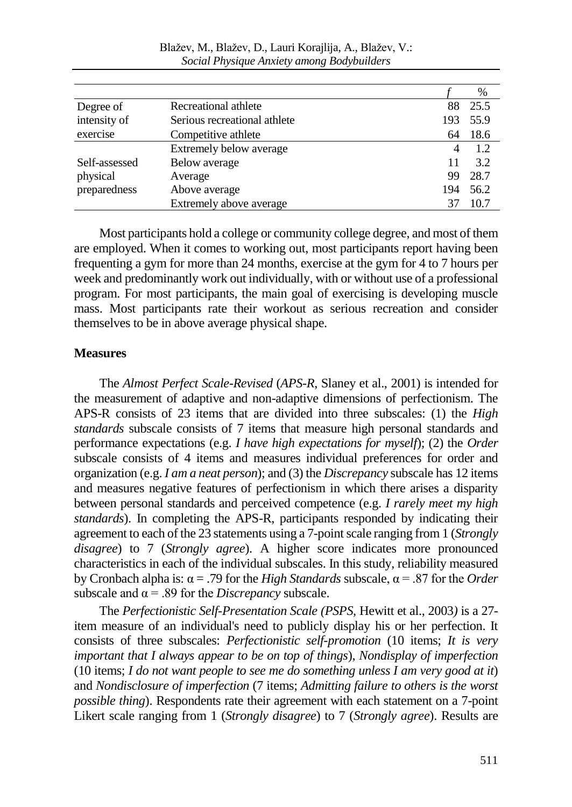|               |                              |     | %    |
|---------------|------------------------------|-----|------|
| Degree of     | Recreational athlete         | 88  | 25.5 |
| intensity of  | Serious recreational athlete | 193 | 55.9 |
| exercise      | Competitive athlete          | 64  | 18.6 |
|               | Extremely below average      | 4   | 1.2  |
| Self-assessed | Below average                | 11  | 3.2  |
| physical      | Average                      | 99  | 28.7 |
| preparedness  | Above average                | 194 | 56.2 |
|               | Extremely above average      |     | 10.7 |

Most participants hold a college or community college degree, and most of them are employed. When it comes to working out, most participants report having been frequenting a gym for more than 24 months, exercise at the gym for 4 to 7 hours per week and predominantly work out individually, with or without use of a professional program. For most participants, the main goal of exercising is developing muscle mass. Most participants rate their workout as serious recreation and consider themselves to be in above average physical shape.

## **Measures**

The *Almost Perfect Scale-Revised* (*APS-R*, Slaney et al., 2001) is intended for the measurement of adaptive and non-adaptive dimensions of perfectionism. The APS-R consists of 23 items that are divided into three subscales: (1) the *High standards* subscale consists of 7 items that measure high personal standards and performance expectations (e.g. *I have high expectations for myself*); (2) the *Order* subscale consists of 4 items and measures individual preferences for order and organization (e.g. *I am a neat person*); and (3) the *Discrepancy* subscale has 12 items and measures negative features of perfectionism in which there arises a disparity between personal standards and perceived competence (e.g. *I rarely meet my high standards*). In completing the APS-R, participants responded by indicating their agreement to each of the 23 statements using a 7-point scale ranging from 1 (*Strongly disagree*) to 7 (*Strongly agree*). A higher score indicates more pronounced characteristics in each of the individual subscales. In this study, reliability measured by Cronbach alpha is: α = .79 for the *High Standards* subscale, α = .87 for the *Order* subscale and  $\alpha$  = .89 for the *Discrepancy* subscale.

The *Perfectionistic Self-Presentation Scale (PSPS,* Hewitt et al., 2003*)* is a 27 item measure of an individual's need to publicly display his or her perfection. It consists of three subscales: *Perfectionistic self-promotion* (10 items; *It is very important that I always appear to be on top of things*), *Nondisplay of imperfection*  (10 items; *I do not want people to see me do something unless I am very good at it*) and *Nondisclosure of imperfection* (7 items; *Admitting failure to others is the worst possible thing*). Respondents rate their agreement with each statement on a 7-point Likert scale ranging from 1 (*Strongly disagree*) to 7 (*Strongly agree*). Results are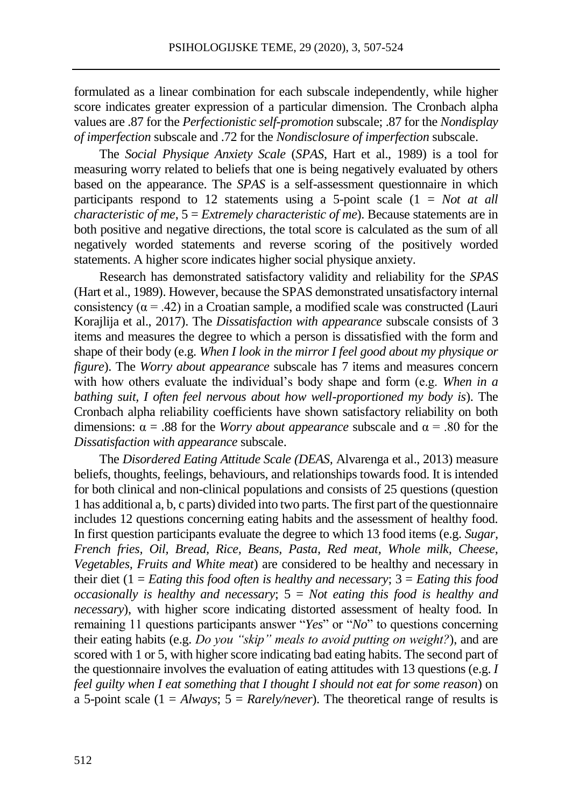formulated as a linear combination for each subscale independently, while higher score indicates greater expression of a particular dimension. The Cronbach alpha values are .87 for the *Perfectionistic self-promotion* subscale; .87 for the *Nondisplay of imperfection* subscale and .72 for the *Nondisclosure of imperfection* subscale.

The *Social Physique Anxiety Scale* (*SPAS*, Hart et al., 1989) is a tool for measuring worry related to beliefs that one is being negatively evaluated by others based on the appearance. The *SPAS* is a self-assessment questionnaire in which participants respond to 12 statements using a 5-point scale (1 = *Not at all characteristic of me*, 5 = *Extremely characteristic of me*). Because statements are in both positive and negative directions, the total score is calculated as the sum of all negatively worded statements and reverse scoring of the positively worded statements. A higher score indicates higher social physique anxiety.

Research has demonstrated satisfactory validity and reliability for the *SPAS* (Hart et al., 1989). However, because the SPAS demonstrated unsatisfactory internal consistency ( $\alpha$  = .42) in a Croatian sample, a modified scale was constructed (Lauri Korajlija et al., 2017). The *Dissatisfaction with appearance* subscale consists of 3 items and measures the degree to which a person is dissatisfied with the form and shape of their body (e.g. *When I look in the mirror I feel good about my physique or figure*). The *Worry about appearance* subscale has 7 items and measures concern with how others evaluate the individual's body shape and form (e.g. *When in a bathing suit, I often feel nervous about how well-proportioned my body is*). The Cronbach alpha reliability coefficients have shown satisfactory reliability on both dimensions:  $\alpha = .88$  for the *Worry about appearance* subscale and  $\alpha = .80$  for the *Dissatisfaction with appearance* subscale.

The *Disordered Eating Attitude Scale (DEAS,* Alvarenga et al., 2013) measure beliefs, thoughts, feelings, behaviours, and relationships towards food. It is intended for both clinical and non-clinical populations and consists of 25 questions (question 1 has additional a, b, c parts) divided into two parts. The first part of the questionnaire includes 12 questions concerning eating habits and the assessment of healthy food. In first question participants evaluate the degree to which 13 food items (e.g. *Sugar, French fries, Oil, Bread, Rice, Beans, Pasta, Red meat, Whole milk, Cheese, Vegetables, Fruits and White meat*) are considered to be healthy and necessary in their diet (1 = *Eating this food often is healthy and necessary*; 3 = *Eating this food occasionally is healthy and necessary*; 5 = *Not eating this food is healthy and necessary*), with higher score indicating distorted assessment of healty food. In remaining 11 questions participants answer "*Yes*" or "*No*" to questions concerning their eating habits (e.g. *Do you "skip" meals to avoid putting on weight?*), and are scored with 1 or 5, with higher score indicating bad eating habits. The second part of the questionnaire involves the evaluation of eating attitudes with 13 questions (e.g. *I feel guilty when I eat something that I thought I should not eat for some reason*) on a 5-point scale  $(1 = Always; 5 = Rarely/never)$ . The theoretical range of results is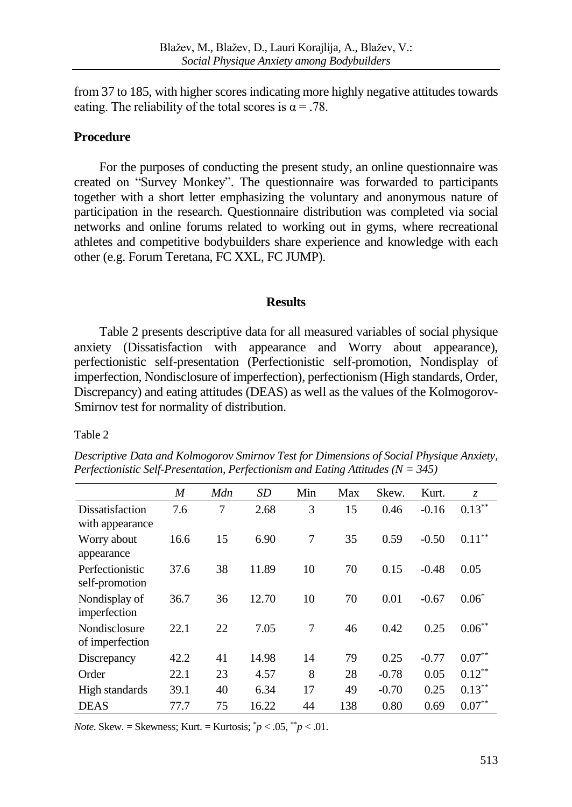from 37 to 185, with higher scores indicating more highly negative attitudes towards eating. The reliability of the total scores is  $\alpha = .78$ .

# **Procedure**

For the purposes of conducting the present study, an online questionnaire was created on "Survey Monkey". The questionnaire was forwarded to participants together with a short letter emphasizing the voluntary and anonymous nature of participation in the research. Questionnaire distribution was completed via social networks and online forums related to working out in gyms, where recreational athletes and competitive bodybuilders share experience and knowledge with each other (e.g. Forum Teretana, FC XXL, FC JUMP).

#### **Results**

Table 2 presents descriptive data for all measured variables of social physique anxiety (Dissatisfaction with appearance and Worry about appearance), perfectionistic self-presentation (Perfectionistic self-promotion, Nondisplay of imperfection, Nondisclosure of imperfection), perfectionism (High standards, Order, Discrepancy) and eating attitudes (DEAS) as well as the values of the Kolmogorov-Smirnov test for normality of distribution.

#### Table 2

|                                           | M    | Mdn | <b>SD</b> | Min | Max | Skew.   | Kurt.   | Z.        |
|-------------------------------------------|------|-----|-----------|-----|-----|---------|---------|-----------|
| <b>Dissatisfaction</b><br>with appearance | 7.6  | 7   | 2.68      | 3   | 15  | 0.46    | $-0.16$ | $0.13***$ |
| Worry about<br>appearance                 | 16.6 | 15  | 6.90      | 7   | 35  | 0.59    | $-0.50$ | $0.11***$ |
| Perfectionistic<br>self-promotion         | 37.6 | 38  | 11.89     | 10  | 70  | 0.15    | $-0.48$ | 0.05      |
| Nondisplay of<br>imperfection             | 36.7 | 36  | 12.70     | 10  | 70  | 0.01    | $-0.67$ | $0.06*$   |
| Nondisclosure<br>of imperfection          | 22.1 | 22  | 7.05      | 7   | 46  | 0.42    | 0.25    | $0.06***$ |
| Discrepancy                               | 42.2 | 41  | 14.98     | 14  | 79  | 0.25    | $-0.77$ | $0.07**$  |
| Order                                     | 22.1 | 23  | 4.57      | 8   | 28  | $-0.78$ | 0.05    | $0.12***$ |
| High standards                            | 39.1 | 40  | 6.34      | 17  | 49  | $-0.70$ | 0.25    | $0.13***$ |
| <b>DEAS</b>                               | 77.7 | 75  | 16.22     | 44  | 138 | 0.80    | 0.69    | $0.07**$  |

*Descriptive Data and Kolmogorov Smirnov Test for Dimensions of Social Physique Anxiety, Perfectionistic Self-Presentation, Perfectionism and Eating Attitudes (N = 345)*

*Note*. Skew. = Skewness; Kurt. = Kurtosis;  $p < .05$ ,  $p < .01$ .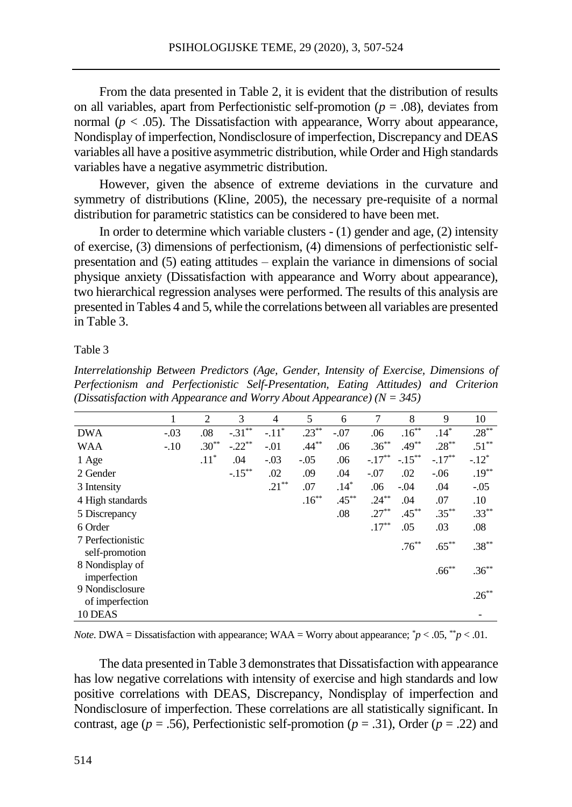From the data presented in Table 2, it is evident that the distribution of results on all variables, apart from Perfectionistic self-promotion ( $p = .08$ ), deviates from normal ( $p < .05$ ). The Dissatisfaction with appearance, Worry about appearance, Nondisplay of imperfection, Nondisclosure of imperfection, Discrepancy and DEAS variables all have a positive asymmetric distribution, while Order and High standards variables have a negative asymmetric distribution.

However, given the absence of extreme deviations in the curvature and symmetry of distributions (Kline, 2005), the necessary pre-requisite of a normal distribution for parametric statistics can be considered to have been met.

In order to determine which variable clusters - (1) gender and age, (2) intensity of exercise, (3) dimensions of perfectionism, (4) dimensions of perfectionistic selfpresentation and (5) eating attitudes – explain the variance in dimensions of social physique anxiety (Dissatisfaction with appearance and Worry about appearance), two hierarchical regression analyses were performed. The results of this analysis are presented in Tables 4 and 5, while the correlations between all variables are presented in Table 3.

#### Table 3

*Interrelationship Between Predictors (Age, Gender, Intensity of Exercise, Dimensions of Perfectionism and Perfectionistic Self-Presentation, Eating Attitudes) and Criterion (Dissatisfaction with Appearance and Worry About Appearance) (N = 345)*

|                                     | 1      | 2       | 3         | $\overline{4}$ | 5        | 6        | 7         | 8         | 9         | 10       |
|-------------------------------------|--------|---------|-----------|----------------|----------|----------|-----------|-----------|-----------|----------|
| <b>DWA</b>                          | $-.03$ | .08     | $-.31***$ | $-.11*$        | $.23***$ | $-.07$   | .06       | $.16***$  | $.14*$    | $.28***$ |
| WAA                                 | $-.10$ | $.30**$ | $-.22**$  | $-.01$         | $.44***$ | .06      | $.36***$  | $.49***$  | $.28***$  | $.51***$ |
| 1 Age                               |        | $.11*$  | .04       | $-.03$         | $-.05$   | .06      | $-.17***$ | $-.15***$ | $-.17***$ | $-.12*$  |
| 2 Gender                            |        |         | $-.15***$ | .02            | .09      | .04      | $-.07$    | .02       | $-0.06$   | $.19***$ |
| 3 Intensity                         |        |         |           | $.21***$       | .07      | $.14*$   | .06       | $-.04$    | .04       | $-.05$   |
| 4 High standards                    |        |         |           |                | $.16***$ | $.45***$ | $.24***$  | .04       | .07       | $.10\,$  |
| 5 Discrepancy                       |        |         |           |                |          | .08      | $.27***$  | $.45***$  | $.35***$  | $.33***$ |
| 6 Order                             |        |         |           |                |          |          | $.17***$  | .05       | .03       | .08      |
| 7 Perfectionistic<br>self-promotion |        |         |           |                |          |          |           | $.76***$  | $.65***$  | $.38***$ |
| 8 Nondisplay of<br>imperfection     |        |         |           |                |          |          |           |           | $.66***$  | $.36***$ |
| 9 Nondisclosure<br>of imperfection  |        |         |           |                |          |          |           |           |           | $.26***$ |
| 10 DEAS                             |        |         |           |                |          |          |           |           |           |          |

*Note*. DWA = Dissatisfaction with appearance; WAA = Worry about appearance;  $\gamma p < .05$ ,  $\gamma p < .01$ .

The data presented in Table 3 demonstrates that Dissatisfaction with appearance has low negative correlations with intensity of exercise and high standards and low positive correlations with DEAS, Discrepancy, Nondisplay of imperfection and Nondisclosure of imperfection. These correlations are all statistically significant. In contrast, age ( $p = .56$ ), Perfectionistic self-promotion ( $p = .31$ ), Order ( $p = .22$ ) and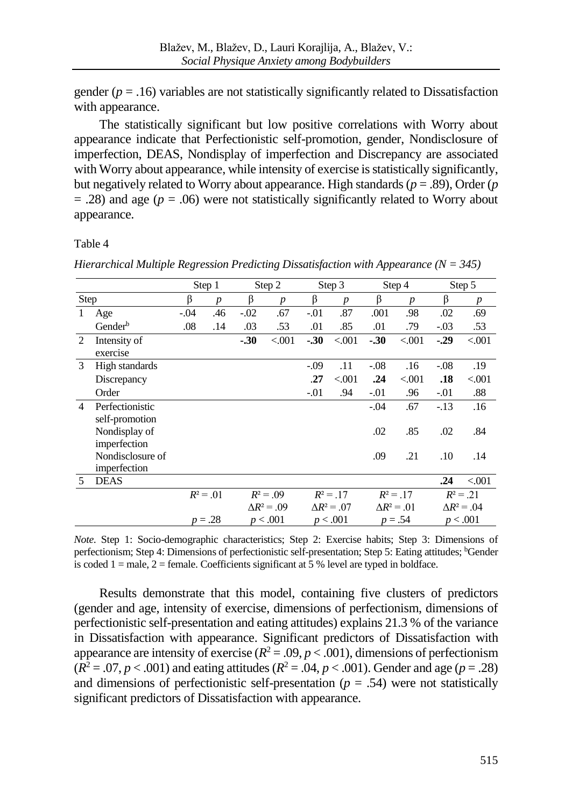gender  $(p = .16)$  variables are not statistically significantly related to Dissatisfaction with appearance.

The statistically significant but low positive correlations with Worry about appearance indicate that Perfectionistic self-promotion, gender, Nondisclosure of imperfection, DEAS, Nondisplay of imperfection and Discrepancy are associated with Worry about appearance, while intensity of exercise is statistically significantly, but negatively related to Worry about appearance. High standards  $(p=.89)$ , Order  $(p$  $=$  .28) and age ( $p = .06$ ) were not statistically significantly related to Worry about appearance.

Table 4

*Hierarchical Multiple Regression Predicting Dissatisfaction with Appearance (N = 345)*

|                     |                                                 |                  |                                    |                  |                                                         |                  |                                                         |                  |                                                                 | Step 5             |
|---------------------|-------------------------------------------------|------------------|------------------------------------|------------------|---------------------------------------------------------|------------------|---------------------------------------------------------|------------------|-----------------------------------------------------------------|--------------------|
| Step                | β                                               | $\boldsymbol{p}$ | β                                  | $\boldsymbol{p}$ | β                                                       | $\boldsymbol{p}$ | β                                                       | $\boldsymbol{p}$ | β                                                               | $\boldsymbol{p}$   |
| Age                 | $-.04$                                          | .46              | $-0.02$                            | .67              | $-.01$                                                  | .87              | .001                                                    | .98              | .02                                                             | .69                |
| Gender <sup>b</sup> | .08                                             | .14              | .03                                | .53              | .01                                                     | .85              | .01                                                     | .79              | $-.03$                                                          | .53                |
| Intensity of        |                                                 |                  | $-.30$                             | < 0.001          | $-.30$                                                  | < 0.001          | $-30$                                                   | < 0.001          | $-29$                                                           | < 0.001            |
| exercise            |                                                 |                  |                                    |                  |                                                         |                  |                                                         |                  |                                                                 |                    |
| High standards      |                                                 |                  |                                    |                  | $-.09$                                                  | .11              | $-.08$                                                  | .16              | $-.08$                                                          | .19                |
| Discrepancy         |                                                 |                  |                                    |                  | .27                                                     | < 0.001          | .24                                                     | < 0.001          | .18                                                             | < 0.001            |
| Order               |                                                 |                  |                                    |                  | $-.01$                                                  | .94              | $-.01$                                                  | .96              | $-.01$                                                          | .88                |
| Perfectionistic     |                                                 |                  |                                    |                  |                                                         |                  | $-.04$                                                  | .67              | $-.13$                                                          | .16                |
| self-promotion      |                                                 |                  |                                    |                  |                                                         |                  |                                                         |                  |                                                                 |                    |
| Nondisplay of       |                                                 |                  |                                    |                  |                                                         |                  | .02                                                     | .85              | .02                                                             | .84                |
| imperfection        |                                                 |                  |                                    |                  |                                                         |                  |                                                         |                  |                                                                 |                    |
|                     |                                                 |                  |                                    |                  |                                                         |                  |                                                         |                  |                                                                 | .14                |
|                     |                                                 |                  |                                    |                  |                                                         |                  |                                                         |                  |                                                                 |                    |
|                     |                                                 |                  |                                    |                  |                                                         |                  |                                                         |                  |                                                                 | < 0.001            |
|                     |                                                 |                  |                                    |                  |                                                         |                  |                                                         |                  |                                                                 | $R^2 = .21$        |
|                     |                                                 |                  |                                    |                  |                                                         |                  |                                                         |                  |                                                                 | $\Delta R^2 = .04$ |
|                     |                                                 |                  |                                    |                  |                                                         |                  |                                                         |                  |                                                                 | p < .001           |
|                     | Nondisclosure of<br>imperfection<br><b>DEAS</b> |                  | Step 1<br>$R^2 = .01$<br>$p = .28$ |                  | Step 2<br>$R^2 = .09$<br>$\Delta R^2 = .09$<br>p < .001 |                  | Step 3<br>$R^2 = .17$<br>$\Delta R^2 = .07$<br>p < .001 | .09              | Step 4<br>.21<br>$R^2 = .17$<br>$\Delta R^2 = .01$<br>$p = .54$ | .10<br>.24         |

*Note*. Step 1: Socio-demographic characteristics; Step 2: Exercise habits; Step 3: Dimensions of perfectionism; Step 4: Dimensions of perfectionistic self-presentation; Step 5: Eating attitudes; <sup>b</sup>Gender is coded  $1 =$  male,  $2 =$  female. Coefficients significant at 5 % level are typed in boldface.

Results demonstrate that this model, containing five clusters of predictors (gender and age, intensity of exercise, dimensions of perfectionism, dimensions of perfectionistic self-presentation and eating attitudes) explains 21.3 % of the variance in Dissatisfaction with appearance. Significant predictors of Dissatisfaction with appearance are intensity of exercise  $(R^2 = .09, p < .001)$ , dimensions of perfectionism  $(R^2 = .07, p < .001)$  and eating attitudes  $(R^2 = .04, p < .001)$ . Gender and age  $(p = .28)$ and dimensions of perfectionistic self-presentation ( $p = .54$ ) were not statistically significant predictors of Dissatisfaction with appearance.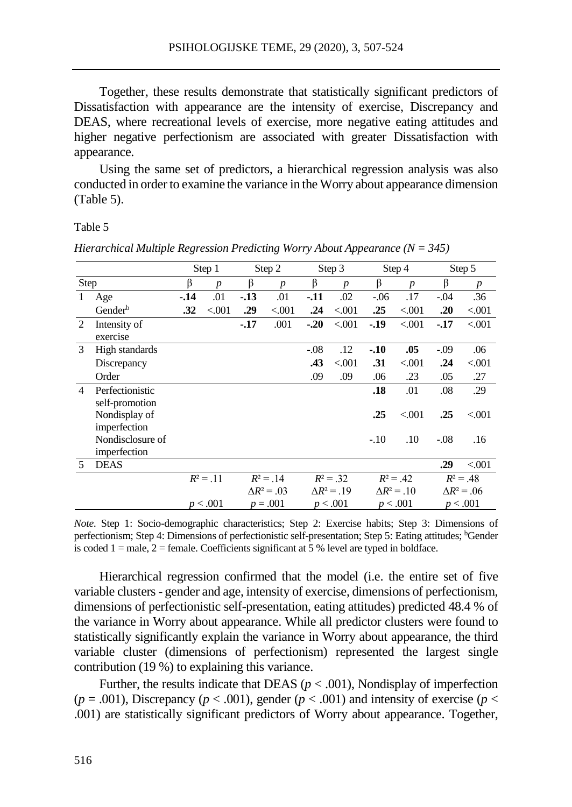Together, these results demonstrate that statistically significant predictors of Dissatisfaction with appearance are the intensity of exercise, Discrepancy and DEAS, where recreational levels of exercise, more negative eating attitudes and higher negative perfectionism are associated with greater Dissatisfaction with appearance.

Using the same set of predictors, a hierarchical regression analysis was also conducted in order to examine the variance in the Worry about appearance dimension (Table 5).

Table 5

|                               |                     |       | Step 1           |       | Step 2             |        | Step 3             |         | Step 4             |         | Step 5             |
|-------------------------------|---------------------|-------|------------------|-------|--------------------|--------|--------------------|---------|--------------------|---------|--------------------|
| Step                          |                     | β     | $\boldsymbol{p}$ | β     | $\boldsymbol{p}$   | β      | $\boldsymbol{p}$   | β       | $\boldsymbol{p}$   | β       | $\boldsymbol{p}$   |
| -1                            | Age                 | $-14$ | .01              | $-13$ | .01                | $-11$  | .02                | $-0.06$ | .17                | $-.04$  | .36                |
|                               | Gender <sup>b</sup> | .32   | < 0.001          | .29   | < 0.001            | .24    | < 0.001            | .25     | < 0.001            | .20     | < 0.001            |
| $\mathfrak{D}_{\mathfrak{p}}$ | Intensity of        |       |                  | $-17$ | .001               | $-.20$ | < 0.001            | $-.19$  | < 0.001            | $-17$   | < 0.001            |
|                               | exercise            |       |                  |       |                    |        |                    |         |                    |         |                    |
| 3                             | High standards      |       |                  |       |                    | $-.08$ | .12                | $-10$   | .05                | $-0.09$ | .06                |
|                               | Discrepancy         |       |                  |       |                    | .43    | < 0.001            | .31     | < 0.001            | .24     | < 0.001            |
|                               | Order               |       |                  |       |                    | .09    | .09                | .06     | .23                | .05     | .27                |
| $\overline{4}$                | Perfectionistic     |       |                  |       |                    |        |                    | .18     | .01                | .08     | .29                |
|                               | self-promotion      |       |                  |       |                    |        |                    |         |                    |         |                    |
|                               | Nondisplay of       |       |                  |       |                    |        |                    | .25     | < 0.001            | .25     | < 0.001            |
|                               | imperfection        |       |                  |       |                    |        |                    |         |                    |         |                    |
|                               | Nondisclosure of    |       |                  |       |                    |        |                    | $-.10$  | .10                | $-.08$  | .16                |
|                               | imperfection        |       |                  |       |                    |        |                    |         |                    |         |                    |
| 5                             | <b>DEAS</b>         |       |                  |       |                    |        |                    |         |                    | .29     | < 0.001            |
|                               |                     |       | $R^2 = .11$      |       | $R^2 = .14$        |        | $R^2 = .32$        |         | $R^2 = .42$        |         | $R^2 = .48$        |
|                               |                     |       |                  |       | $\Delta R^2 = .03$ |        | $\Delta R^2 = .19$ |         | $\Delta R^2 = .10$ |         | $\Delta R^2 = .06$ |
|                               |                     |       | p < .001         |       | $p = .001$         |        | p < .001           |         | p < .001           |         | p < .001           |

*Hierarchical Multiple Regression Predicting Worry About Appearance (N = 345)*

*Note*. Step 1: Socio-demographic characteristics; Step 2: Exercise habits; Step 3: Dimensions of perfectionism; Step 4: Dimensions of perfectionistic self-presentation; Step 5: Eating attitudes; <sup>b</sup>Gender is coded  $1 =$  male,  $2 =$  female. Coefficients significant at 5 % level are typed in boldface.

Hierarchical regression confirmed that the model (i.e. the entire set of five variable clusters - gender and age, intensity of exercise, dimensions of perfectionism, dimensions of perfectionistic self-presentation, eating attitudes) predicted 48.4 % of the variance in Worry about appearance. While all predictor clusters were found to statistically significantly explain the variance in Worry about appearance, the third variable cluster (dimensions of perfectionism) represented the largest single contribution (19 %) to explaining this variance.

Further, the results indicate that DEAS ( $p < .001$ ), Nondisplay of imperfection  $(p = .001)$ , Discrepancy ( $p < .001$ ), gender ( $p < .001$ ) and intensity of exercise ( $p <$ .001) are statistically significant predictors of Worry about appearance. Together,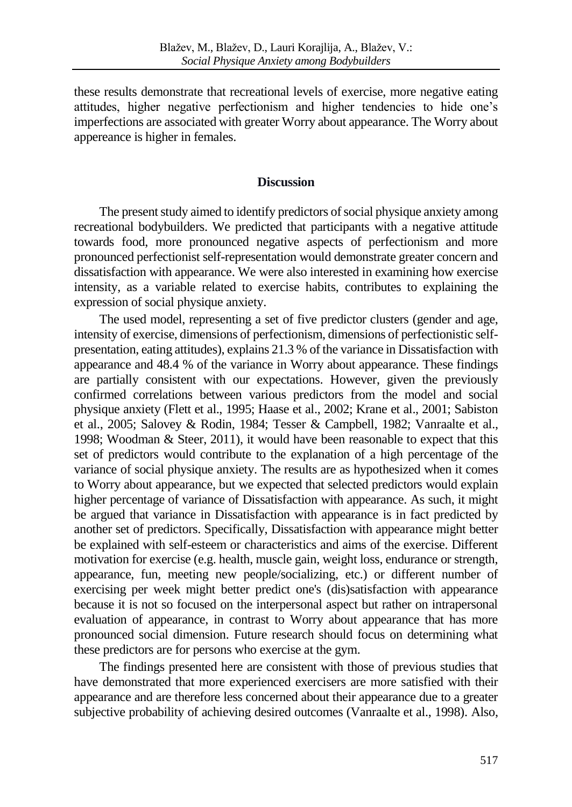these results demonstrate that recreational levels of exercise, more negative eating attitudes, higher negative perfectionism and higher tendencies to hide one's imperfections are associated with greater Worry about appearance. The Worry about appereance is higher in females.

#### **Discussion**

The present study aimed to identify predictors of social physique anxiety among recreational bodybuilders. We predicted that participants with a negative attitude towards food, more pronounced negative aspects of perfectionism and more pronounced perfectionist self-representation would demonstrate greater concern and dissatisfaction with appearance. We were also interested in examining how exercise intensity, as a variable related to exercise habits, contributes to explaining the expression of social physique anxiety.

The used model, representing a set of five predictor clusters (gender and age, intensity of exercise, dimensions of perfectionism, dimensions of perfectionistic selfpresentation, eating attitudes), explains 21.3 % of the variance in Dissatisfaction with appearance and 48.4 % of the variance in Worry about appearance. These findings are partially consistent with our expectations. However, given the previously confirmed correlations between various predictors from the model and social physique anxiety (Flett et al., 1995; Haase et al., 2002; Krane et al., 2001; Sabiston et al., 2005; Salovey & Rodin, 1984; Tesser & Campbell, 1982; Vanraalte et al., 1998; Woodman  $&$  Steer, 2011), it would have been reasonable to expect that this set of predictors would contribute to the explanation of a high percentage of the variance of social physique anxiety. The results are as hypothesized when it comes to Worry about appearance, but we expected that selected predictors would explain higher percentage of variance of Dissatisfaction with appearance. As such, it might be argued that variance in Dissatisfaction with appearance is in fact predicted by another set of predictors. Specifically, Dissatisfaction with appearance might better be explained with self-esteem or characteristics and aims of the exercise. Different motivation for exercise (e.g. health, muscle gain, weight loss, endurance or strength, appearance, fun, meeting new people/socializing, etc.) or different number of exercising per week might better predict one's (dis)satisfaction with appearance because it is not so focused on the interpersonal aspect but rather on intrapersonal evaluation of appearance, in contrast to Worry about appearance that has more pronounced social dimension. Future research should focus on determining what these predictors are for persons who exercise at the gym.

The findings presented here are consistent with those of previous studies that have demonstrated that more experienced exercisers are more satisfied with their appearance and are therefore less concerned about their appearance due to a greater subjective probability of achieving desired outcomes (Vanraalte et al., 1998). Also,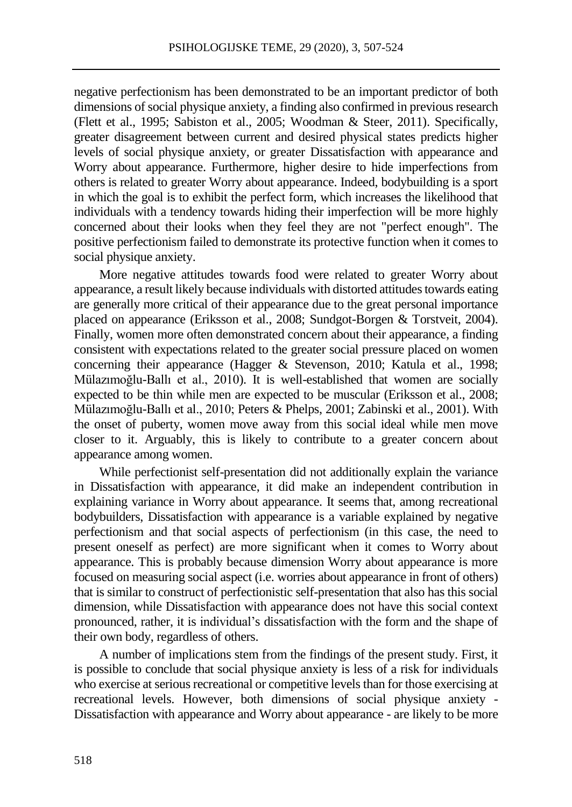negative perfectionism has been demonstrated to be an important predictor of both dimensions of social physique anxiety, a finding also confirmed in previous research (Flett et al., 1995; Sabiston et al., 2005; Woodman & Steer, 2011). Specifically, greater disagreement between current and desired physical states predicts higher levels of social physique anxiety, or greater Dissatisfaction with appearance and Worry about appearance. Furthermore, higher desire to hide imperfections from others is related to greater Worry about appearance. Indeed, bodybuilding is a sport in which the goal is to exhibit the perfect form, which increases the likelihood that individuals with a tendency towards hiding their imperfection will be more highly concerned about their looks when they feel they are not "perfect enough". The positive perfectionism failed to demonstrate its protective function when it comes to social physique anxiety.

More negative attitudes towards food were related to greater Worry about appearance, a result likely because individuals with distorted attitudes towards eating are generally more critical of their appearance due to the great personal importance placed on appearance (Eriksson et al., 2008; Sundgot-Borgen & Torstveit, 2004). Finally, women more often demonstrated concern about their appearance, a finding consistent with expectations related to the greater social pressure placed on women concerning their appearance (Hagger & Stevenson, 2010; Katula et al., 1998; Mülazımoğlu-Ballı et al., 2010). It is well-established that women are socially expected to be thin while men are expected to be muscular (Eriksson et al., 2008; Mülazımoğlu-Ballı et al., 2010; Peters & Phelps, 2001; Zabinski et al., 2001). With the onset of puberty, women move away from this social ideal while men move closer to it. Arguably, this is likely to contribute to a greater concern about appearance among women.

While perfectionist self-presentation did not additionally explain the variance in Dissatisfaction with appearance, it did make an independent contribution in explaining variance in Worry about appearance. It seems that, among recreational bodybuilders, Dissatisfaction with appearance is a variable explained by negative perfectionism and that social aspects of perfectionism (in this case, the need to present oneself as perfect) are more significant when it comes to Worry about appearance. This is probably because dimension Worry about appearance is more focused on measuring social aspect (i.e. worries about appearance in front of others) that is similar to construct of perfectionistic self-presentation that also has this social dimension, while Dissatisfaction with appearance does not have this social context pronounced, rather, it is individual's dissatisfaction with the form and the shape of their own body, regardless of others.

A number of implications stem from the findings of the present study. First, it is possible to conclude that social physique anxiety is less of a risk for individuals who exercise at serious recreational or competitive levels than for those exercising at recreational levels. However, both dimensions of social physique anxiety - Dissatisfaction with appearance and Worry about appearance - are likely to be more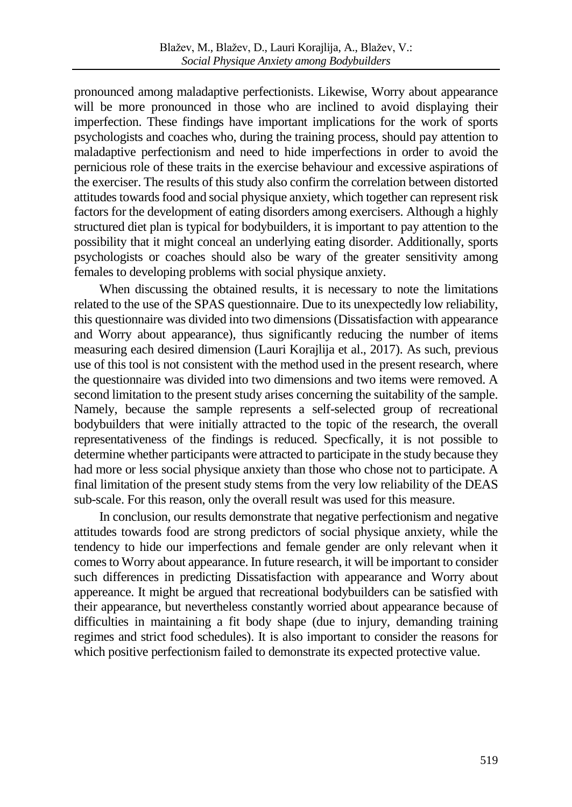pronounced among maladaptive perfectionists. Likewise, Worry about appearance will be more pronounced in those who are inclined to avoid displaying their imperfection. These findings have important implications for the work of sports psychologists and coaches who, during the training process, should pay attention to maladaptive perfectionism and need to hide imperfections in order to avoid the pernicious role of these traits in the exercise behaviour and excessive aspirations of the exerciser. The results of this study also confirm the correlation between distorted attitudes towards food and social physique anxiety, which together can represent risk factors for the development of eating disorders among exercisers. Although a highly structured diet plan is typical for bodybuilders, it is important to pay attention to the possibility that it might conceal an underlying eating disorder. Additionally, sports psychologists or coaches should also be wary of the greater sensitivity among females to developing problems with social physique anxiety.

When discussing the obtained results, it is necessary to note the limitations related to the use of the SPAS questionnaire. Due to its unexpectedly low reliability, this questionnaire was divided into two dimensions (Dissatisfaction with appearance and Worry about appearance), thus significantly reducing the number of items measuring each desired dimension (Lauri Korajlija et al., 2017). As such, previous use of this tool is not consistent with the method used in the present research, where the questionnaire was divided into two dimensions and two items were removed. A second limitation to the present study arises concerning the suitability of the sample. Namely, because the sample represents a self-selected group of recreational bodybuilders that were initially attracted to the topic of the research, the overall representativeness of the findings is reduced. Specfically, it is not possible to determine whether participants were attracted to participate in the study because they had more or less social physique anxiety than those who chose not to participate. A final limitation of the present study stems from the very low reliability of the DEAS sub-scale. For this reason, only the overall result was used for this measure.

In conclusion, our results demonstrate that negative perfectionism and negative attitudes towards food are strong predictors of social physique anxiety, while the tendency to hide our imperfections and female gender are only relevant when it comes to Worry about appearance. In future research, it will be important to consider such differences in predicting Dissatisfaction with appearance and Worry about appereance. It might be argued that recreational bodybuilders can be satisfied with their appearance, but nevertheless constantly worried about appearance because of difficulties in maintaining a fit body shape (due to injury, demanding training regimes and strict food schedules). It is also important to consider the reasons for which positive perfectionism failed to demonstrate its expected protective value.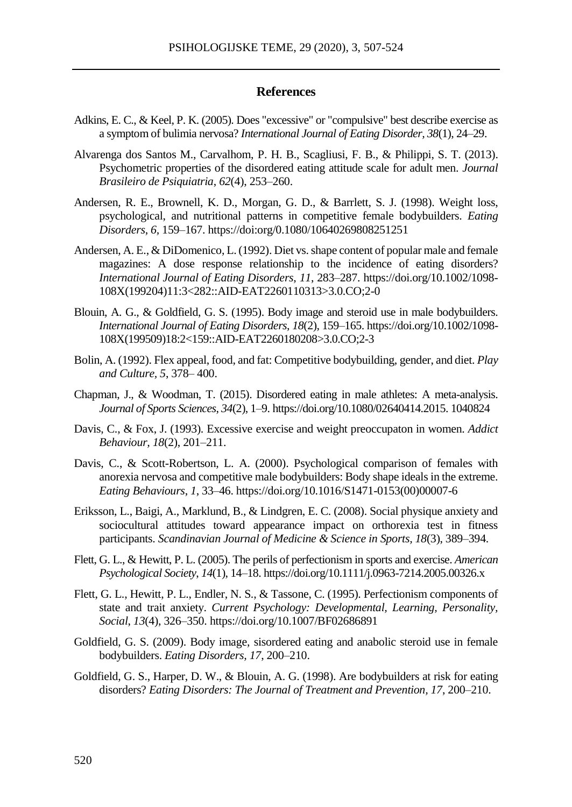#### **References**

- Adkins, E. C., & Keel, P. K. (2005). Does "excessive" or "compulsive" best describe exercise as a symptom of bulimia nervosa? *International Journal of Eating Disorder, 38*(1), 24–29.
- Alvarenga dos Santos M., Carvalhom, P. H. B., Scagliusi, F. B., & Philippi, S. T. (2013). Psychometric properties of the disordered eating attitude scale for adult men. *Journal Brasileiro de Psiquiatria*, *62*(4), 253–260.
- Andersen, R. E., Brownell, K. D., Morgan, G. D., & Barrlett, S. J. (1998). Weight loss, psychological, and nutritional patterns in competitive female bodybuilders. *Eating Disorders*, *6,* 159–167. https://doi:org/0.1080/10640269808251251
- Andersen, A. E., & DiDomenico, L. (1992). Diet vs. shape content of popular male and female magazines: A dose response relationship to the incidence of eating disorders? *International Journal of Eating Disorders*, *11*, 283–287. https://doi.org/10.1002/1098- 108X(199204)11:3<282::AID-EAT2260110313>3.0.CO;2-0
- Blouin, A. G., & Goldfield, G. S. (1995). Body image and steroid use in male bodybuilders. *International Journal of Eating Disorders*, *18*(2), 159–165. https://doi.org/10.1002/1098- 108X(199509)18:2<159::AID-EAT2260180208>3.0.CO;2-3
- Bolin, A. (1992). Flex appeal, food, and fat: Competitive bodybuilding, gender, and diet. *Play and Culture, 5*, 378– 400.
- Chapman, J., & Woodman, T. (2015). Disordered eating in male athletes: A meta-analysis. *Journal of Sports Sciences*, *34*(2), 1–9. https://doi.org/10.1080/02640414.2015. 1040824
- Davis, C., & Fox, J. (1993). Excessive exercise and weight preoccupaton in women. *Addict Behaviour, 18*(2), 201–211.
- Davis, C., & Scott-Robertson, L. A. (2000). Psychological comparison of females with anorexia nervosa and competitive male bodybuilders: Body shape ideals in the extreme. *Eating Behaviours*, *1*, 33–46. https://doi.org/10.1016/S1471-0153(00)00007-6
- Eriksson, L., Baigi, A., Marklund, B., & Lindgren, E. C. (2008). Social physique anxiety and sociocultural attitudes toward appearance impact on orthorexia test in fitness participants. *Scandinavian Journal of Medicine & Science in Sports, 18*(3), 389–394.
- Flett, G. L., & Hewitt, P. L. (2005). The perils of perfectionism in sports and exercise. *American Psychological Society*, *14*(1), 14–18. https://doi.org/10.1111/j.0963-7214.2005.00326.x
- Flett, G. L., Hewitt, P. L., Endler, N. S., & Tassone, C. (1995). Perfectionism components of state and trait anxiety. *Current Psychology: Developmental, Learning, Personality, Social*, *13*(4), 326–350. https://doi.org/10.1007/BF02686891
- Goldfield, G. S. (2009). Body image, sisordered eating and anabolic steroid use in female bodybuilders. *Eating Disorders, 17*, 200–210.
- Goldfield, G. S., Harper, D. W., & Blouin, A. G. (1998). Are bodybuilders at risk for eating disorders? *Eating Disorders: The Journal of Treatment and Prevention, 17*, 200–210.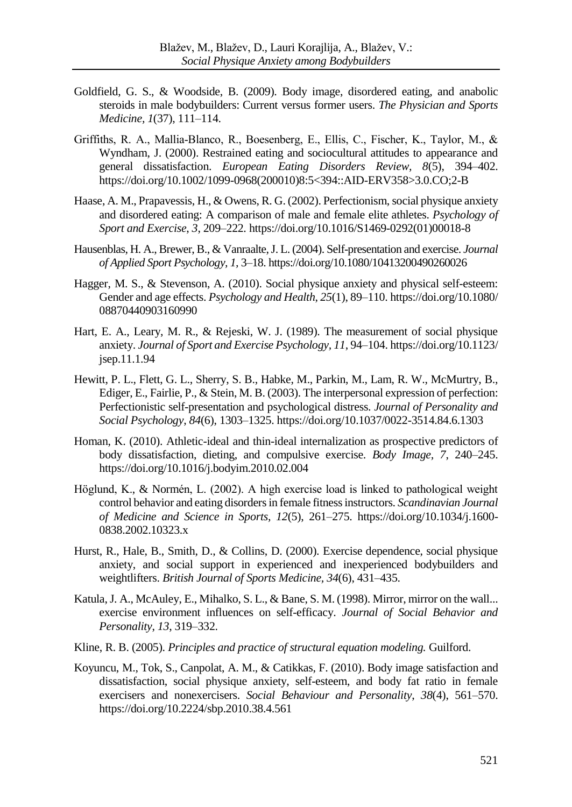- Goldfield, G. S., & Woodside, B. (2009). Body image, disordered eating, and anabolic steroids in male bodybuilders: Current versus former users. *The Physician and Sports Medicine, 1*(37), 111–114.
- Griffiths, R. A., Mallia‐Blanco, R., Boesenberg, E., Ellis, C., Fischer, K., Taylor, M., & Wyndham, J. (2000). Restrained eating and sociocultural attitudes to appearance and general dissatisfaction. *European Eating Disorders Review, 8*(5), 394–402. https://doi.org/10.1002/1099-0968(200010)8:5<394::AID-ERV358>3.0.CO;2-B
- Haase, A. M., Prapavessis, H., & Owens, R. G. (2002). Perfectionism, social physique anxiety and disordered eating: A comparison of male and female elite athletes. *Psychology of Sport and Exercise*, *3*, 209–222. https://doi.org/10.1016/S1469-0292(01)00018-8
- Hausenblas, H. A., Brewer, B., & Vanraalte, J. L. (2004). Self-presentation and exercise. *Journal of Applied Sport Psychology, 1,* 3–18. https://doi.org/10.1080/10413200490260026
- Hagger, M. S., & Stevenson, A. (2010). Social physique anxiety and physical self-esteem: Gender and age effects. *Psychology and Health*, *25*(1), 89–110. https://doi.org/10.1080/ 08870440903160990
- Hart, E. A., Leary, M. R., & Rejeski, W. J. (1989). The measurement of social physique anxiety. *Journal of Sport and Exercise Psychology, 11*, 94–104. https://doi.org/10.1123/ jsep.11.1.94
- Hewitt, P. L., Flett, G. L., Sherry, S. B., Habke, M., Parkin, M., Lam, R. W., McMurtry, B., Ediger, E., Fairlie, P., & Stein, M. B. (2003). The interpersonal expression of perfection: Perfectionistic self-presentation and psychological distress. *Journal of Personality and Social Psychology*, *84*(6), 1303–1325. https://doi.org/10.1037/0022-3514.84.6.1303
- Homan, K. (2010). Athletic-ideal and thin-ideal internalization as prospective predictors of body dissatisfaction, dieting, and compulsive exercise. *Body Image, 7*, 240–245. https://doi.org/10.1016/j.bodyim.2010.02.004
- Höglund, K., & Normén, L. (2002). A high exercise load is linked to pathological weight control behavior and eating disorders in female fitness instructors. *Scandinavian Journal of Medicine and Science in Sports, 12*(5), 261–275. https://doi.org/10.1034/j.1600- 0838.2002.10323.x
- Hurst, R., Hale, B., Smith, D., & Collins, D. (2000). Exercise dependence, social physique anxiety, and social support in experienced and inexperienced bodybuilders and weightlifters. *British Journal of Sports Medicine, 34*(6), 431–435.
- Katula, J. A., McAuley, E., Mihalko, S. L., & Bane, S. M. (1998). Mirror, mirror on the wall... exercise environment influences on self-efficacy. *Journal of Social Behavior and Personality*, *13*, 319–332.
- Kline, R. B. (2005). *Principles and practice of structural equation modeling.* Guilford.
- Koyuncu, M., Tok, S., Canpolat, A. M., & Catikkas, F. (2010). Body image satisfaction and dissatisfaction, social physique anxiety, self-esteem, and body fat ratio in female exercisers and nonexercisers. *Social Behaviour and Personality*, *38*(4), 561–570. https://doi.org/10.2224/sbp.2010.38.4.561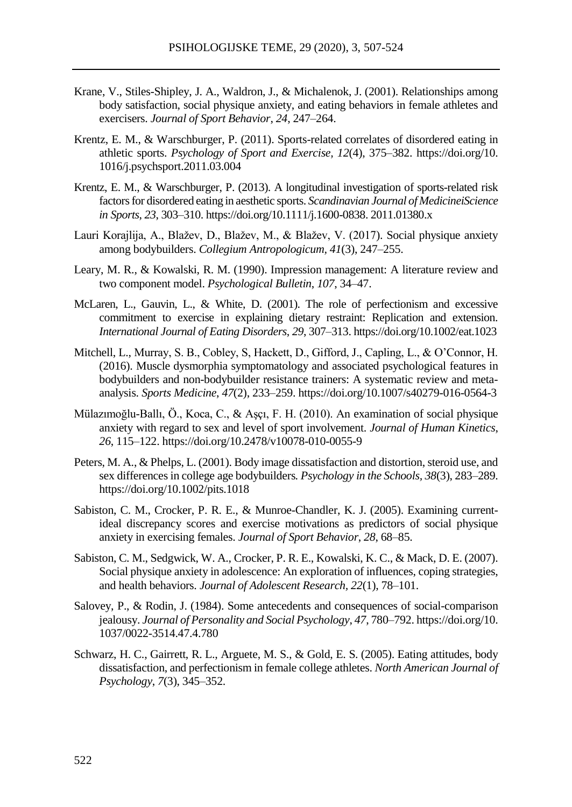- Krane, V., Stiles-Shipley, J. A., Waldron, J., & Michalenok, J. (2001). Relationships among body satisfaction, social physique anxiety, and eating behaviors in female athletes and exercisers. *Journal of Sport Behavior*, *24*, 247–264.
- Krentz, E. M., & Warschburger, P. (2011). Sports-related correlates of disordered eating in athletic sports. *Psychology of Sport and Exercise, 12*(4), 375–382. https://doi.org/10. 1016/j.psychsport.2011.03.004
- Krentz, E. M., & Warschburger, P. (2013). A longitudinal investigation of sports-related risk factors for disordered eating in aesthetic sports. *Scandinavian Journal of MedicineiScience in Sports*, *23*, 303–310. https://doi.org/10.1111/j.1600-0838. 2011.01380.x
- Lauri Korajlija, A., Blažev, D., Blažev, M., & Blažev, V. (2017). Social physique anxiety among bodybuilders. *Collegium Antropologicum, 41*(3), 247–255.
- Leary, M. R., & Kowalski, R. M. (1990). Impression management: A literature review and two component model. *Psychological Bulletin*, *107*, 34–47.
- McLaren, L., Gauvin, L., & White, D. (2001). The role of perfectionism and excessive commitment to exercise in explaining dietary restraint: Replication and extension. *International Journal of Eating Disorders*, *29*, 307–313. https://doi.org/10.1002/eat.1023
- Mitchell, L., Murray, S. B., Cobley, S, Hackett, D., Gifford, J., Capling, L., & O'Connor, H. (2016). Muscle dysmorphia symptomatology and associated psychological features in bodybuilders and non-bodybuilder resistance trainers: A systematic review and metaanalysis. *Sports Medicine*, *47*(2), 233–259. https://doi.org/10.1007/s40279-016-0564-3
- Mülazımoğlu-Ballı, Ö., Koca, C., & Aşçı, F. H. (2010). An examination of social physique anxiety with regard to sex and level of sport involvement. *Journal of Human Kinetics*, *26*, 115–122. https://doi.org/10.2478/v10078-010-0055-9
- Peters, M. A., & Phelps, L. (2001). Body image dissatisfaction and distortion, steroid use, and sex differences in college age bodybuilders*. Psychology in the Schools, 38*(3), 283–289. https://doi.org/10.1002/pits.1018
- Sabiston, C. M., Crocker, P. R. E., & Munroe-Chandler, K. J. (2005). Examining currentideal discrepancy scores and exercise motivations as predictors of social physique anxiety in exercising females. *Journal of Sport Behavior*, *28*, 68–85.
- Sabiston, C. M., Sedgwick, W. A., Crocker, P. R. E., Kowalski, K. C., & Mack, D. E. (2007). Social physique anxiety in adolescence: An exploration of influences, coping strategies, and health behaviors. *Journal of Adolescent Research, 22*(1), 78–101.
- Salovey, P., & Rodin, J. (1984). Some antecedents and consequences of social-comparison jealousy. *Journal of Personality and Social Psychology*, *47*, 780–792. https://doi.org/10. 1037/0022-3514.47.4.780
- Schwarz, H. C., Gairrett, R. L., Arguete, M. S., & Gold, E. S. (2005). Eating attitudes, body dissatisfaction, and perfectionism in female college athletes. *North American Journal of Psychology*, *7*(3), 345–352.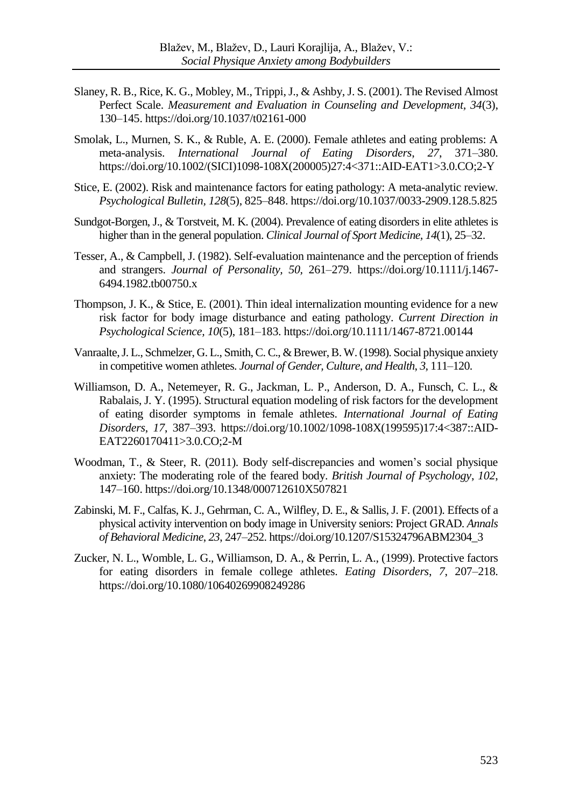- Slaney, R. B., Rice, K. G., Mobley, M., Trippi, J., & Ashby, J. S. (2001). The Revised Almost Perfect Scale. *Measurement and Evaluation in Counseling and Development, 34*(3), 130–145. https://doi.org/10.1037/t02161-000
- Smolak, L., Murnen, S. K., & Ruble, A. E. (2000). Female athletes and eating problems: A meta-analysis. *International Journal of Eating Disorders*, *27*, 371–380. https://doi.org/10.1002/(SICI)1098-108X(200005)27:4<371::AID-EAT1>3.0.CO;2-Y
- Stice, E. (2002). Risk and maintenance factors for eating pathology: A meta-analytic review. *Psychological Bulletin, 128*(5), 825–848. https://doi.org/10.1037/0033-2909.128.5.825
- Sundgot-Borgen, J., & Torstveit, M. K. (2004). Prevalence of eating disorders in elite athletes is higher than in the general population. *Clinical Journal of Sport Medicine, 14*(1), 25–32.
- Tesser, A., & Campbell, J. (1982). Self-evaluation maintenance and the perception of friends and strangers. *Journal of Personality, 50,* 261–279. https://doi.org/10.1111/j.1467- 6494.1982.tb00750.x
- Thompson, J. K., & Stice, E. (2001). Thin ideal internalization mounting evidence for a new risk factor for body image disturbance and eating pathology. *Current Direction in Psychological Science, 10*(5), 181–183. https://doi.org/10.1111/1467-8721.00144
- Vanraalte, J. L., Schmelzer, G. L., Smith, C. C., & Brewer, B. W. (1998). Social physique anxiety in competitive women athletes. *Journal of Gender, Culture, and Health*, *3*, 111–120.
- Williamson, D. A., Netemeyer, R. G., Jackman, L. P., Anderson, D. A., Funsch, C. L., & Rabalais, J. Y. (1995). Structural equation modeling of risk factors for the development of eating disorder symptoms in female athletes. *International Journal of Eating Disorders*, *17*, 387–393. https://doi.org/10.1002/1098-108X(199595)17:4<387::AID-EAT2260170411>3.0.CO;2-M
- Woodman, T., & Steer, R. (2011). Body self-discrepancies and women's social physique anxiety: The moderating role of the feared body. *British Journal of Psychology*, *102*, 147–160. https://doi.org/10.1348/000712610X507821
- Zabinski, M. F., Calfas, K. J., Gehrman, C. A., Wilfley, D. E., & Sallis, J. F. (2001). Effects of a physical activity intervention on body image in University seniors: Project GRAD. *Annals of Behavioral Medicine*, *23*, 247–252. https://doi.org/10.1207/S15324796ABM2304\_3
- Zucker, N. L., Womble, L. G., Williamson, D. A., & Perrin, L. A., (1999). Protective factors for eating disorders in female college athletes. *Eating Disorders*, *7*, 207–218. https://doi.org/10.1080/10640269908249286